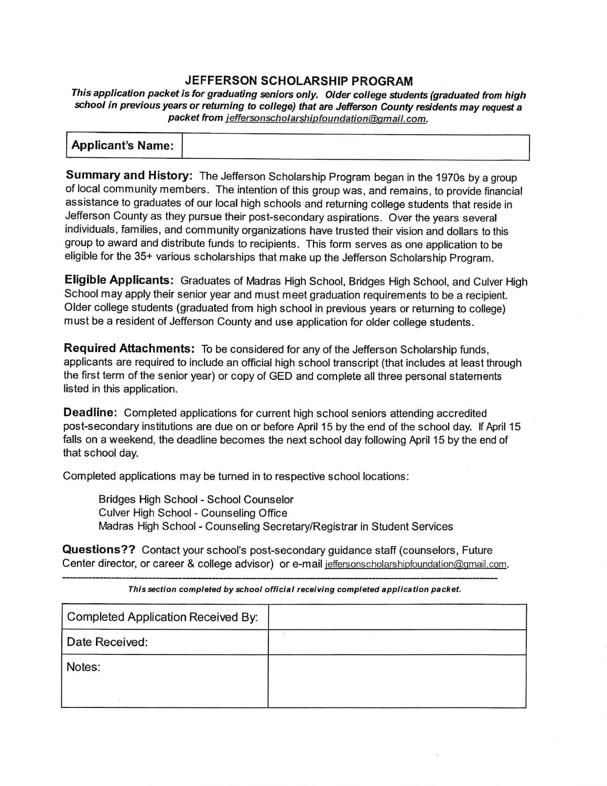## **JEFFERSON SCHOLARSHIP PROGRAM**

This application packet is for graduating seniors only. Older college students (graduated from high school in previous years or returning to college) that are Jefferson County residents may request a packet from jeffersonscholarshipfoundation@gmail.com.

| <b>Applicant's Name:</b> |  |
|--------------------------|--|

**Summary and History:** The Jefferson Scholarship Program began in the 1970s by a group of local community members. The intention of this group was, and remains, to provide financial assistance to graduates of our local high schools and returning college students that reside in Jefferson County as they pursue their post-secondary aspirations. Over the years several individuals, families, and community organizations have trusted their vision and dollars to this group to award and distribute funds to recipients. This form serves as one application to be eligible for the 35+ various scholarships that make up the Jefferson Scholarship Program.

**Eligible Applicants:** Graduates of Madras High School, Bridges High School, and Culver High School may apply their senior year and must meet graduation requirements to be a recipient. Older college students (graduated from high school in previous years or returning to college) must be a resident of Jefferson County and use application for older college students.

**Required Attachments:** To be considered for any of the Jefferson Scholarship funds, applicants are required to include an official high school transcript (that includes at least through the first term of the senior year) or copy of GED and complete all three personal statements listed in this application.

**Deadline:** Completed applications for current high school seniors attending accredited post-secondary institutions are due on or before April 15 by the end of the school day. If April 15 falls on a weekend, the deadline becomes the next school day following April 15 by the end of that school day.

Completed applications may be turned in to respective school locations:

Bridges High School - School Counselor Culver High School - Counseling Office Madras High School - Counseling Secretary/Registrar in Student Services

**Questions??** Contact your school's post-secondary guidance staff (counselors, Future Center director, or career & college advisor) or e-mail jeffersonscholarshipfoundation@gmail.com.

| Completed Application Received By: |  |
|------------------------------------|--|
| Date Received:                     |  |
| Notes:                             |  |
|                                    |  |

This section completed *by* school official receiving completed application packet.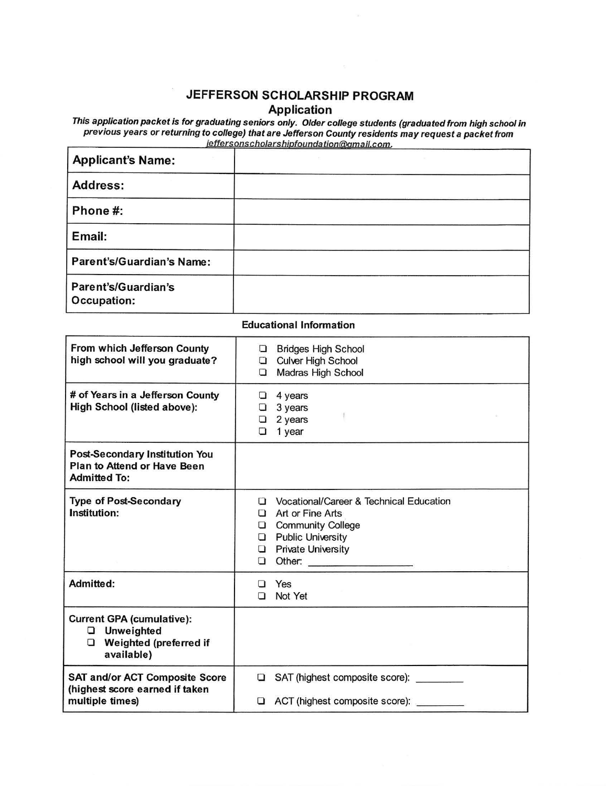# JEFFERSON SCHOLARSHIP PROGRAM

Application

This application packet is for graduating seniors only. Older college students (graduated from high school in previous years or returning to college) that are Jefferson County residents may request a packet from jeffersonscholarshipfoundation@gmail.com.

| <b>Applicant's Name:</b>                  |  |
|-------------------------------------------|--|
| <b>Address:</b>                           |  |
| Phone #:                                  |  |
| Email:                                    |  |
| <b>Parent's/Guardian's Name:</b>          |  |
| <b>Parent's/Guardian's</b><br>Occupation: |  |

#### Educational Information

| From which Jefferson County<br>high school will you graduate?                                        | <b>Bridges High School</b><br>o<br>Culver High School<br>Madras High School<br>O.                                                                                                                  |  |
|------------------------------------------------------------------------------------------------------|----------------------------------------------------------------------------------------------------------------------------------------------------------------------------------------------------|--|
| # of Years in a Jefferson County<br>High School (listed above):                                      | 4 years<br>O<br>3 years<br>□<br>2 years<br>◘<br>1 year<br>◘                                                                                                                                        |  |
| <b>Post-Secondary Institution You</b><br><b>Plan to Attend or Have Been</b><br><b>Admitted To:</b>   |                                                                                                                                                                                                    |  |
| <b>Type of Post-Secondary</b><br>Institution:                                                        | Vocational/Career & Technical Education<br>Π<br>Art or Fine Arts<br>□<br><b>Community College</b><br>$\Box$<br><b>Public University</b><br>❏<br><b>Private University</b><br>◘<br>Other:<br>$\Box$ |  |
| Admitted:                                                                                            | Yes<br>П<br>Not Yet<br>n                                                                                                                                                                           |  |
| <b>Current GPA (cumulative):</b><br><b>Q</b> Unweighted<br>Weighted (preferred if<br>0<br>available) |                                                                                                                                                                                                    |  |
| <b>SAT and/or ACT Composite Score</b><br>(highest score earned if taken<br>multiple times)           | SAT (highest composite score):<br>О<br>ACT (highest composite score):<br>◘                                                                                                                         |  |